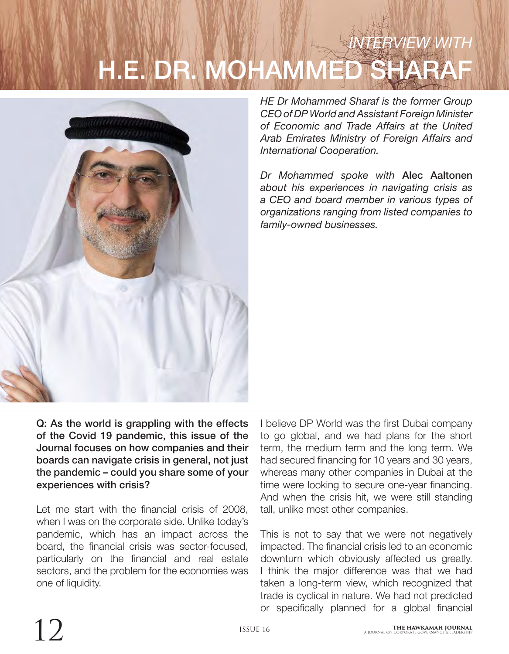# *INTERVIEW WITH* H.E. DR



*HE Dr Mohammed Sharaf is the former Group CEO of DP World and Assistant Foreign Minister of Economic and Trade Affairs at the United Arab Emirates Ministry of Foreign Affairs and International Cooperation.* 

*Dr Mohammed spoke with* Alec Aaltonen *about his experiences in navigating crisis as a CEO and board member in various types of organizations ranging from listed companies to family-owned businesses.*

Q: As the world is grappling with the effects of the Covid 19 pandemic, this issue of the Journal focuses on how companies and their boards can navigate crisis in general, not just the pandemic – could you share some of your experiences with crisis?

Let me start with the financial crisis of 2008, when I was on the corporate side. Unlike today's pandemic, which has an impact across the board, the financial crisis was sector-focused, particularly on the financial and real estate sectors, and the problem for the economies was one of liquidity.

I believe DP World was the first Dubai company to go global, and we had plans for the short term, the medium term and the long term. We had secured financing for 10 years and 30 years, whereas many other companies in Dubai at the time were looking to secure one-year financing. And when the crisis hit, we were still standing tall, unlike most other companies.

This is not to say that we were not negatively impacted. The financial crisis led to an economic downturn which obviously affected us greatly. I think the major difference was that we had taken a long-term view, which recognized that trade is cyclical in nature. We had not predicted or specifically planned for a global financial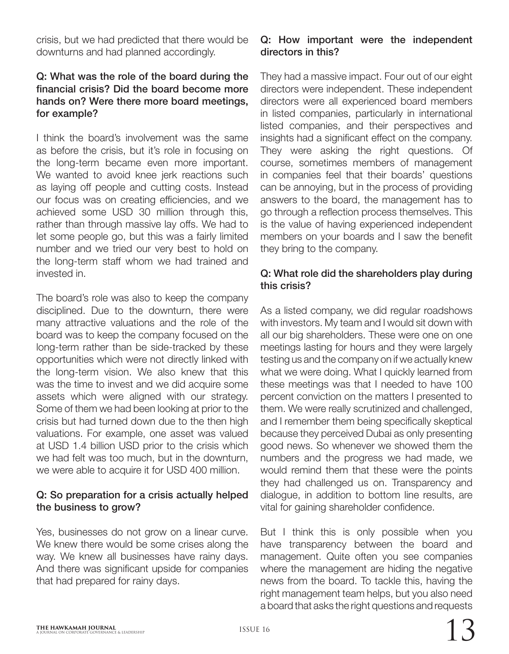crisis, but we had predicted that there would be downturns and had planned accordingly.

#### Q: What was the role of the board during the financial crisis? Did the board become more hands on? Were there more board meetings, for example?

I think the board's involvement was the same as before the crisis, but it's role in focusing on the long-term became even more important. We wanted to avoid knee jerk reactions such as laying off people and cutting costs. Instead our focus was on creating efficiencies, and we achieved some USD 30 million through this, rather than through massive lay offs. We had to let some people go, but this was a fairly limited number and we tried our very best to hold on the long-term staff whom we had trained and invested in.

The board's role was also to keep the company disciplined. Due to the downturn, there were many attractive valuations and the role of the board was to keep the company focused on the long-term rather than be side-tracked by these opportunities which were not directly linked with the long-term vision. We also knew that this was the time to invest and we did acquire some assets which were aligned with our strategy. Some of them we had been looking at prior to the crisis but had turned down due to the then high valuations. For example, one asset was valued at USD 1.4 billion USD prior to the crisis which we had felt was too much, but in the downturn, we were able to acquire it for USD 400 million.

#### Q: So preparation for a crisis actually helped the business to grow?

Yes, businesses do not grow on a linear curve. We knew there would be some crises along the way. We knew all businesses have rainy days. And there was significant upside for companies that had prepared for rainy days.

## Q: How important were the independent directors in this?

They had a massive impact. Four out of our eight directors were independent. These independent directors were all experienced board members in listed companies, particularly in international listed companies, and their perspectives and insights had a significant effect on the company. They were asking the right questions. Of course, sometimes members of management in companies feel that their boards' questions can be annoying, but in the process of providing answers to the board, the management has to go through a reflection process themselves. This is the value of having experienced independent members on your boards and I saw the benefit they bring to the company.

#### Q: What role did the shareholders play during this crisis?

As a listed company, we did regular roadshows with investors. My team and I would sit down with all our big shareholders. These were one on one meetings lasting for hours and they were largely testing us and the company on if we actually knew what we were doing. What I quickly learned from these meetings was that I needed to have 100 percent conviction on the matters I presented to them. We were really scrutinized and challenged, and I remember them being specifically skeptical because they perceived Dubai as only presenting good news. So whenever we showed them the numbers and the progress we had made, we would remind them that these were the points they had challenged us on. Transparency and dialogue, in addition to bottom line results, are vital for gaining shareholder confidence.

But I think this is only possible when you have transparency between the board and management. Quite often you see companies where the management are hiding the negative news from the board. To tackle this, having the right management team helps, but you also need a board that asks the right questions and requests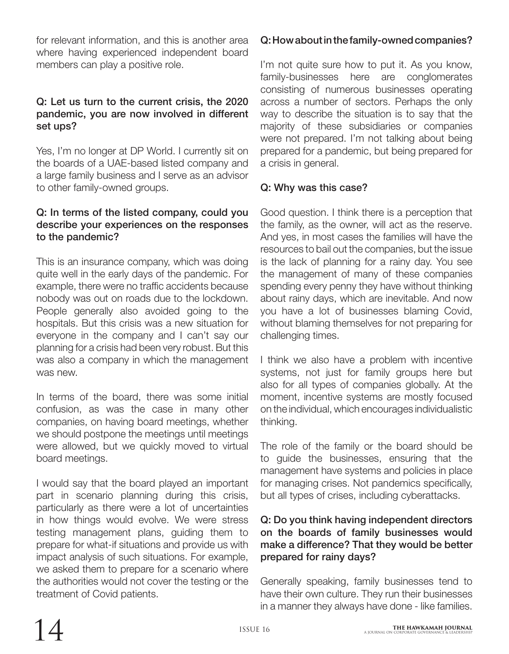for relevant information, and this is another area where having experienced independent board members can play a positive role.

## Q: Let us turn to the current crisis, the 2020 pandemic, you are now involved in different set ups?

Yes, I'm no longer at DP World. I currently sit on the boards of a UAE-based listed company and a large family business and I serve as an advisor to other family-owned groups.

## Q: In terms of the listed company, could you describe your experiences on the responses to the pandemic?

This is an insurance company, which was doing quite well in the early days of the pandemic. For example, there were no traffic accidents because nobody was out on roads due to the lockdown. People generally also avoided going to the hospitals. But this crisis was a new situation for everyone in the company and I can't say our planning for a crisis had been very robust. But this was also a company in which the management was new.

In terms of the board, there was some initial confusion, as was the case in many other companies, on having board meetings, whether we should postpone the meetings until meetings were allowed, but we quickly moved to virtual board meetings.

I would say that the board played an important part in scenario planning during this crisis, particularly as there were a lot of uncertainties in how things would evolve. We were stress testing management plans, guiding them to prepare for what-if situations and provide us with impact analysis of such situations. For example, we asked them to prepare for a scenario where the authorities would not cover the testing or the treatment of Covid patients.

# Q: How about in the family-owned companies?

I'm not quite sure how to put it. As you know, family-businesses here are conglomerates consisting of numerous businesses operating across a number of sectors. Perhaps the only way to describe the situation is to say that the majority of these subsidiaries or companies were not prepared. I'm not talking about being prepared for a pandemic, but being prepared for a crisis in general.

## Q: Why was this case?

Good question. I think there is a perception that the family, as the owner, will act as the reserve. And yes, in most cases the families will have the resources to bail out the companies, but the issue is the lack of planning for a rainy day. You see the management of many of these companies spending every penny they have without thinking about rainy days, which are inevitable. And now you have a lot of businesses blaming Covid, without blaming themselves for not preparing for challenging times.

I think we also have a problem with incentive systems, not just for family groups here but also for all types of companies globally. At the moment, incentive systems are mostly focused on the individual, which encourages individualistic thinking.

The role of the family or the board should be to guide the businesses, ensuring that the management have systems and policies in place for managing crises. Not pandemics specifically, but all types of crises, including cyberattacks.

## Q: Do you think having independent directors on the boards of family businesses would make a difference? That they would be better prepared for rainy days?

Generally speaking, family businesses tend to have their own culture. They run their businesses in a manner they always have done - like families.